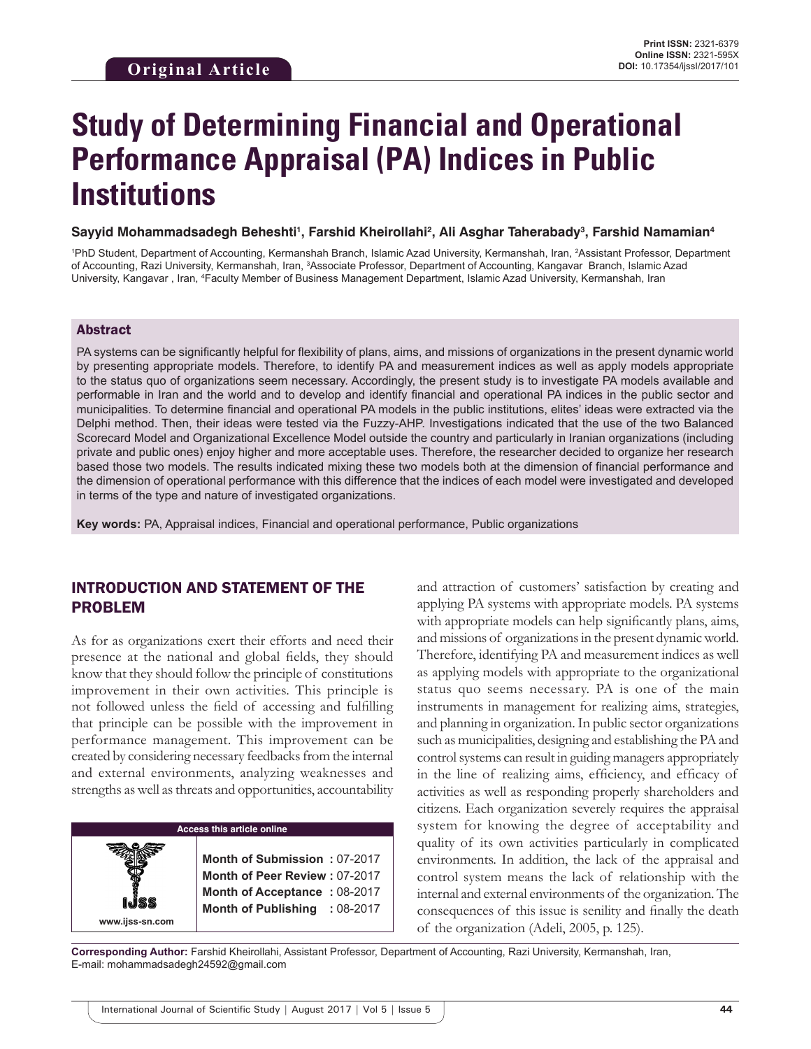# **Study of Determining Financial and Operational Performance Appraisal (PA) Indices in Public Institutions**

#### **Sayyid Mohammadsadegh Beheshti1 , Farshid Kheirollahi2 , Ali Asghar Taherabady3 , Farshid Namamian4**

<sup>1</sup>PhD Student, Department of Accounting, Kermanshah Branch, Islamic Azad University, Kermanshah, Iran, <sup>2</sup>Assistant Professor, Department of Accounting, Razi University, Kermanshah, Iran, <sup>3</sup>Associate Professor, Department of Accounting, Kangavar Branch, Islamic Azad University, Kangavar, Iran, <sup>4</sup>Faculty Member of Business Management Department, Islamic Azad University, Kermanshah, Iran

#### Abstract

PA systems can be significantly helpful for flexibility of plans, aims, and missions of organizations in the present dynamic world by presenting appropriate models. Therefore, to identify PA and measurement indices as well as apply models appropriate to the status quo of organizations seem necessary. Accordingly, the present study is to investigate PA models available and performable in Iran and the world and to develop and identify financial and operational PA indices in the public sector and municipalities. To determine financial and operational PA models in the public institutions, elites' ideas were extracted via the Delphi method. Then, their ideas were tested via the Fuzzy-AHP. Investigations indicated that the use of the two Balanced Scorecard Model and Organizational Excellence Model outside the country and particularly in Iranian organizations (including private and public ones) enjoy higher and more acceptable uses. Therefore, the researcher decided to organize her research based those two models. The results indicated mixing these two models both at the dimension of financial performance and the dimension of operational performance with this difference that the indices of each model were investigated and developed in terms of the type and nature of investigated organizations.

**Key words:** PA, Appraisal indices, Financial and operational performance, Public organizations

# INTRODUCTION AND STATEMENT OF THE PROBLEM

As for as organizations exert their efforts and need their presence at the national and global fields, they should know that they should follow the principle of constitutions improvement in their own activities. This principle is not followed unless the field of accessing and fulfilling that principle can be possible with the improvement in performance management. This improvement can be created by considering necessary feedbacks from the internal and external environments, analyzing weaknesses and strengths as well as threats and opportunities, accountability

## **Access this article online**

**www.ijss-sn.com**

**Month of Submission :** 07-2017 **Month of Peer Review :** 07-2017 **Month of Acceptance :** 08-2017 **Month of Publishing :** 08-2017 and attraction of customers' satisfaction by creating and applying PA systems with appropriate models. PA systems with appropriate models can help significantly plans, aims, and missions of organizations in the present dynamic world. Therefore, identifying PA and measurement indices as well as applying models with appropriate to the organizational status quo seems necessary. PA is one of the main instruments in management for realizing aims, strategies, and planning in organization. In public sector organizations such as municipalities, designing and establishing the PA and control systems can result in guiding managers appropriately in the line of realizing aims, efficiency, and efficacy of activities as well as responding properly shareholders and citizens. Each organization severely requires the appraisal system for knowing the degree of acceptability and quality of its own activities particularly in complicated environments. In addition, the lack of the appraisal and control system means the lack of relationship with the internal and external environments of the organization. The consequences of this issue is senility and finally the death of the organization (Adeli, 2005, p. 125).

**Corresponding Author:** Farshid Kheirollahi, Assistant Professor, Department of Accounting, Razi University, Kermanshah, Iran, E-mail: mohammadsadegh24592@gmail.com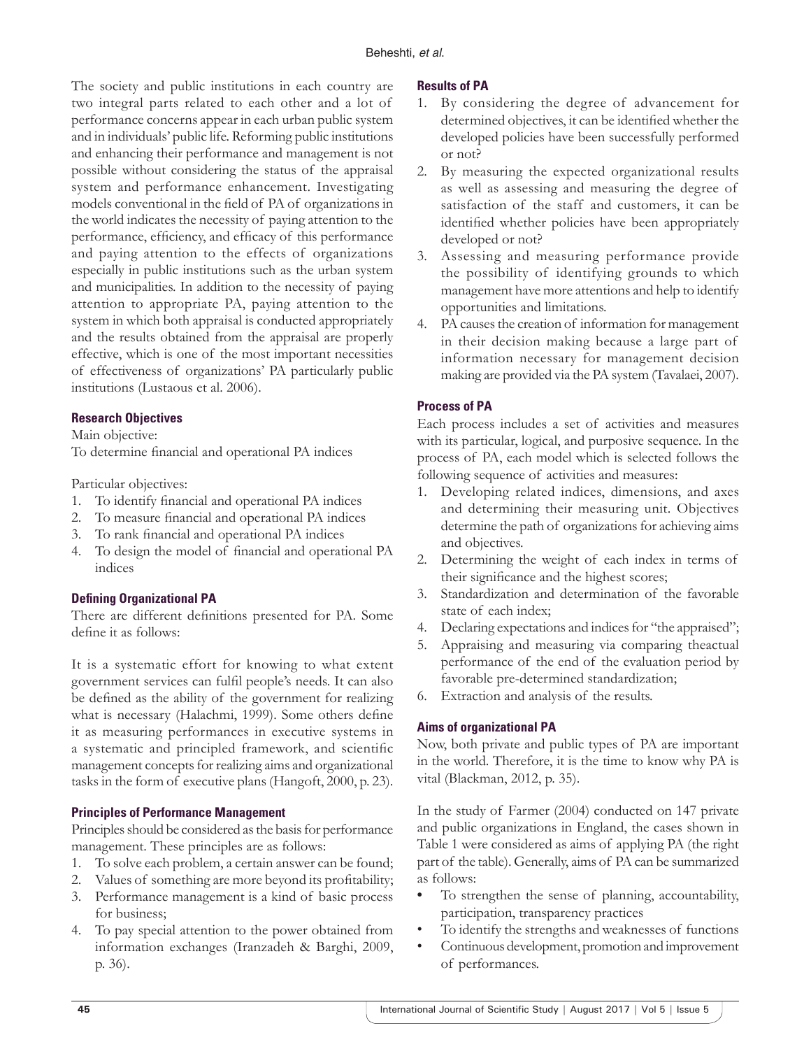The society and public institutions in each country are two integral parts related to each other and a lot of performance concerns appear in each urban public system and in individuals' public life. Reforming public institutions and enhancing their performance and management is not possible without considering the status of the appraisal system and performance enhancement. Investigating models conventional in the field of PA of organizations in the world indicates the necessity of paying attention to the performance, efficiency, and efficacy of this performance and paying attention to the effects of organizations especially in public institutions such as the urban system and municipalities. In addition to the necessity of paying attention to appropriate PA, paying attention to the system in which both appraisal is conducted appropriately and the results obtained from the appraisal are properly effective, which is one of the most important necessities of effectiveness of organizations' PA particularly public institutions (Lustaous et al. 2006).

### **Research Objectives**

Main objective:

To determine financial and operational PA indices

Particular objectives:

- 1. To identify financial and operational PA indices
- 2. To measure financial and operational PA indices
- 3. To rank financial and operational PA indices
- 4. To design the model of financial and operational PA indices

#### **Defining Organizational PA**

There are different definitions presented for PA. Some define it as follows:

It is a systematic effort for knowing to what extent government services can fulfil people's needs. It can also be defined as the ability of the government for realizing what is necessary (Halachmi, 1999). Some others define it as measuring performances in executive systems in a systematic and principled framework, and scientific management concepts for realizing aims and organizational tasks in the form of executive plans (Hangoft, 2000, p. 23).

## **Principles of Performance Management**

Principles should be considered as the basis for performance management. These principles are as follows:

- 1. To solve each problem, a certain answer can be found;
- 2. Values of something are more beyond its profitability;
- 3. Performance management is a kind of basic process for business;
- 4. To pay special attention to the power obtained from information exchanges (Iranzadeh & Barghi, 2009, p. 36).

#### **Results of PA**

- 1. By considering the degree of advancement for determined objectives, it can be identified whether the developed policies have been successfully performed or not?
- 2. By measuring the expected organizational results as well as assessing and measuring the degree of satisfaction of the staff and customers, it can be identified whether policies have been appropriately developed or not?
- 3. Assessing and measuring performance provide the possibility of identifying grounds to which management have more attentions and help to identify opportunities and limitations.
- 4. PA causes the creation of information for management in their decision making because a large part of information necessary for management decision making are provided via the PA system (Tavalaei, 2007).

## **Process of PA**

Each process includes a set of activities and measures with its particular, logical, and purposive sequence. In the process of PA, each model which is selected follows the following sequence of activities and measures:

- 1. Developing related indices, dimensions, and axes and determining their measuring unit. Objectives determine the path of organizations for achieving aims and objectives.
- 2. Determining the weight of each index in terms of their significance and the highest scores;
- 3. Standardization and determination of the favorable state of each index;
- 4. Declaring expectations and indices for "the appraised";
- 5. Appraising and measuring via comparing theactual performance of the end of the evaluation period by favorable pre-determined standardization;
- 6. Extraction and analysis of the results.

## **Aims of organizational PA**

Now, both private and public types of PA are important in the world. Therefore, it is the time to know why PA is vital (Blackman, 2012, p. 35).

In the study of Farmer (2004) conducted on 147 private and public organizations in England, the cases shown in Table 1 were considered as aims of applying PA (the right part of the table). Generally, aims of PA can be summarized as follows:

- To strengthen the sense of planning, accountability, participation, transparency practices
- To identify the strengths and weaknesses of functions
- Continuous development, promotion and improvement of performances.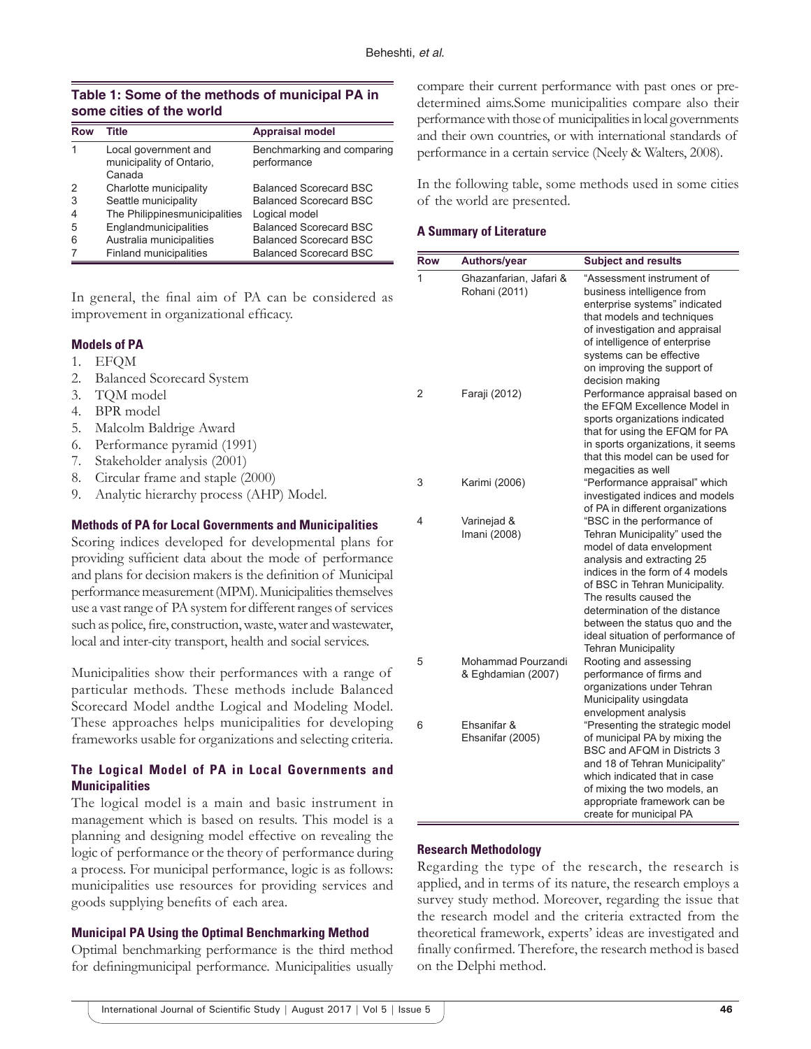### **Table 1: Some of the methods of municipal PA in some cities of the world**

| Row | Title                                                      | <b>Appraisal model</b>                    |
|-----|------------------------------------------------------------|-------------------------------------------|
|     | Local government and<br>municipality of Ontario,<br>Canada | Benchmarking and comparing<br>performance |
|     | Charlotte municipality                                     | <b>Balanced Scorecard BSC</b>             |
| 3   | Seattle municipality                                       | <b>Balanced Scorecard BSC</b>             |
|     | The Philippinesmunicipalities                              | Logical model                             |
| 5   | Englandmunicipalities                                      | <b>Balanced Scorecard BSC</b>             |
| 6   | Australia municipalities                                   | <b>Balanced Scorecard BSC</b>             |
|     | Finland municipalities                                     | <b>Balanced Scorecard BSC</b>             |

In general, the final aim of PA can be considered as improvement in organizational efficacy.

### **Models of PA**

- 1. EFQM
- 2. Balanced Scorecard System
- 3. TQM model
- 4. BPR model
- 5. Malcolm Baldrige Award
- 6. Performance pyramid (1991)
- 7. Stakeholder analysis (2001)
- 8. Circular frame and staple (2000)
- 9. Analytic hierarchy process (AHP) Model.

#### **Methods of PA for Local Governments and Municipalities**

Scoring indices developed for developmental plans for providing sufficient data about the mode of performance and plans for decision makers is the definition of Municipal performance measurement (MPM). Municipalities themselves use a vast range of PA system for different ranges of services such as police, fire, construction, waste, water and wastewater, local and inter-city transport, health and social services.

Municipalities show their performances with a range of particular methods. These methods include Balanced Scorecard Model andthe Logical and Modeling Model. These approaches helps municipalities for developing frameworks usable for organizations and selecting criteria.

## **The Logical Model of PA in Local Governments and Municipalities**

The logical model is a main and basic instrument in management which is based on results. This model is a planning and designing model effective on revealing the logic of performance or the theory of performance during a process. For municipal performance, logic is as follows: municipalities use resources for providing services and goods supplying benefits of each area.

#### **Municipal PA Using the Optimal Benchmarking Method**

Optimal benchmarking performance is the third method for definingmunicipal performance. Municipalities usually compare their current performance with past ones or predetermined aims.Some municipalities compare also their performance with those of municipalities in local governments and their own countries, or with international standards of performance in a certain service (Neely & Walters, 2008).

In the following table, some methods used in some cities of the world are presented.

#### **A Summary of Literature**

| <b>Row</b> | Authors/year                             | <b>Subject and results</b>                                                                                                                                                                                                                                                                                                                                  |
|------------|------------------------------------------|-------------------------------------------------------------------------------------------------------------------------------------------------------------------------------------------------------------------------------------------------------------------------------------------------------------------------------------------------------------|
| 1          | Ghazanfarian, Jafari &<br>Rohani (2011)  | "Assessment instrument of<br>business intelligence from<br>enterprise systems" indicated<br>that models and techniques<br>of investigation and appraisal<br>of intelligence of enterprise<br>systems can be effective<br>on improving the support of<br>decision making                                                                                     |
| 2          | Faraji (2012)                            | Performance appraisal based on<br>the EFQM Excellence Model in<br>sports organizations indicated<br>that for using the EFQM for PA<br>in sports organizations, it seems<br>that this model can be used for<br>megacities as well                                                                                                                            |
| 3          | Karimi (2006)                            | "Performance appraisal" which<br>investigated indices and models<br>of PA in different organizations                                                                                                                                                                                                                                                        |
| 4          | Varinejad &<br>Imani (2008)              | "BSC in the performance of<br>Tehran Municipality" used the<br>model of data envelopment<br>analysis and extracting 25<br>indices in the form of 4 models<br>of BSC in Tehran Municipality.<br>The results caused the<br>determination of the distance<br>between the status quo and the<br>ideal situation of performance of<br><b>Tehran Municipality</b> |
| 5          | Mohammad Pourzandi<br>& Eghdamian (2007) | Rooting and assessing<br>performance of firms and<br>organizations under Tehran<br>Municipality usingdata<br>envelopment analysis                                                                                                                                                                                                                           |
| 6          | Ehsanifar &<br>Ehsanifar (2005)          | "Presenting the strategic model<br>of municipal PA by mixing the<br>BSC and AFQM in Districts 3<br>and 18 of Tehran Municipality"<br>which indicated that in case<br>of mixing the two models, an<br>appropriate framework can be<br>create for municipal PA                                                                                                |

#### **Research Methodology**

Regarding the type of the research, the research is applied, and in terms of its nature, the research employs a survey study method. Moreover, regarding the issue that the research model and the criteria extracted from the theoretical framework, experts' ideas are investigated and finally confirmed. Therefore, the research method is based on the Delphi method.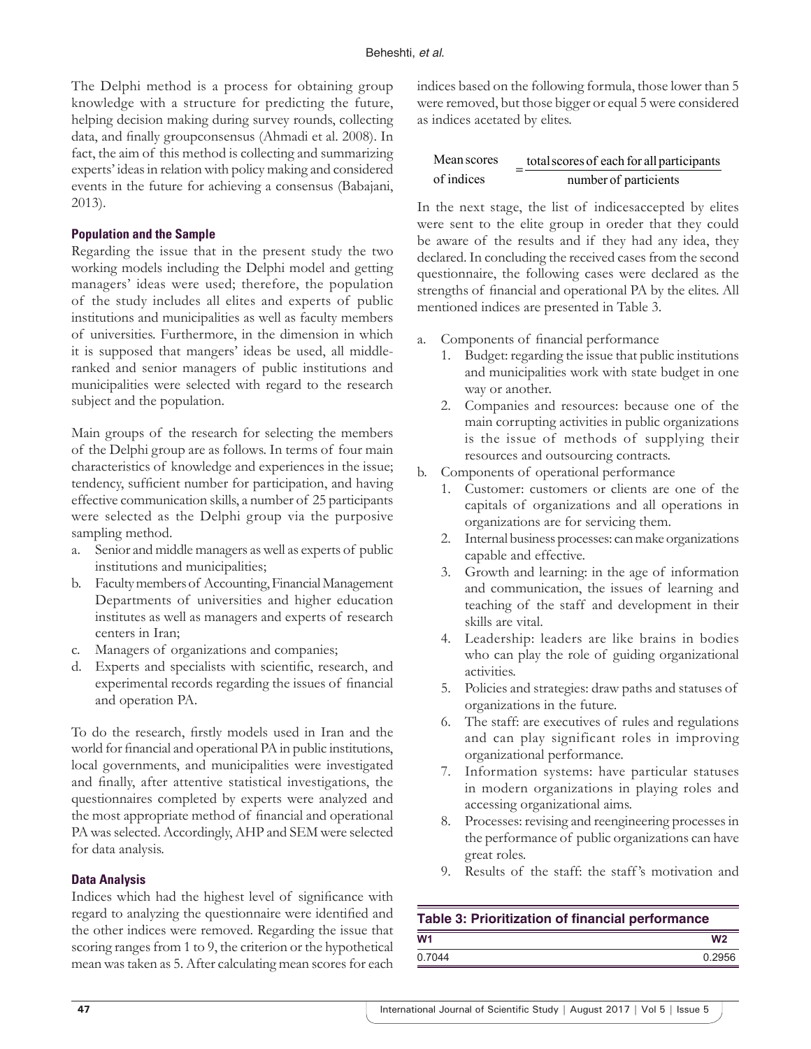The Delphi method is a process for obtaining group knowledge with a structure for predicting the future, helping decision making during survey rounds, collecting data, and finally groupconsensus (Ahmadi et al. 2008). In fact, the aim of this method is collecting and summarizing experts' ideas in relation with policy making and considered events in the future for achieving a consensus (Babajani, 2013).

#### **Population and the Sample**

Regarding the issue that in the present study the two working models including the Delphi model and getting managers' ideas were used; therefore, the population of the study includes all elites and experts of public institutions and municipalities as well as faculty members of universities. Furthermore, in the dimension in which it is supposed that mangers' ideas be used, all middleranked and senior managers of public institutions and municipalities were selected with regard to the research subject and the population.

Main groups of the research for selecting the members of the Delphi group are as follows. In terms of four main characteristics of knowledge and experiences in the issue; tendency, sufficient number for participation, and having effective communication skills, a number of 25 participants were selected as the Delphi group via the purposive sampling method.

- a. Senior and middle managers as well as experts of public institutions and municipalities;
- b. Faculty members of Accounting, Financial Management Departments of universities and higher education institutes as well as managers and experts of research centers in Iran;
- c. Managers of organizations and companies;
- d. Experts and specialists with scientific, research, and experimental records regarding the issues of financial and operation PA.

To do the research, firstly models used in Iran and the world for financial and operational PA in public institutions, local governments, and municipalities were investigated and finally, after attentive statistical investigations, the questionnaires completed by experts were analyzed and the most appropriate method of financial and operational PA was selected. Accordingly, AHP and SEM were selected for data analysis.

#### **Data Analysis**

Indices which had the highest level of significance with regard to analyzing the questionnaire were identified and the other indices were removed. Regarding the issue that scoring ranges from 1 to 9, the criterion or the hypothetical mean was taken as 5. After calculating mean scores for each indices based on the following formula, those lower than 5 were removed, but those bigger or equal 5 were considered as indices acetated by elites.

| Mean scores | total scores of each for all participants |
|-------------|-------------------------------------------|
| of indices  | number of particients                     |

In the next stage, the list of indicesaccepted by elites were sent to the elite group in oreder that they could be aware of the results and if they had any idea, they declared. In concluding the received cases from the second questionnaire, the following cases were declared as the strengths of financial and operational PA by the elites. All mentioned indices are presented in Table 3.

- a. Components of financial performance
	- 1. Budget: regarding the issue that public institutions and municipalities work with state budget in one way or another.
	- 2. Companies and resources: because one of the main corrupting activities in public organizations is the issue of methods of supplying their resources and outsourcing contracts.
- b. Components of operational performance
	- 1. Customer: customers or clients are one of the capitals of organizations and all operations in organizations are for servicing them.
	- 2. Internal business processes: can make organizations capable and effective.
	- 3. Growth and learning: in the age of information and communication, the issues of learning and teaching of the staff and development in their skills are vital.
	- 4. Leadership: leaders are like brains in bodies who can play the role of guiding organizational activities.
	- 5. Policies and strategies: draw paths and statuses of organizations in the future.
	- 6. The staff: are executives of rules and regulations and can play significant roles in improving organizational performance.
	- 7. Information systems: have particular statuses in modern organizations in playing roles and accessing organizational aims.
	- 8. Processes: revising and reengineering processes in the performance of public organizations can have great roles.
	- 9. Results of the staff: the staff 's motivation and

| Table 3: Prioritization of financial performance |                |  |  |  |
|--------------------------------------------------|----------------|--|--|--|
| W <sub>1</sub>                                   | W <sub>2</sub> |  |  |  |
| 0.7044                                           | 0 2956         |  |  |  |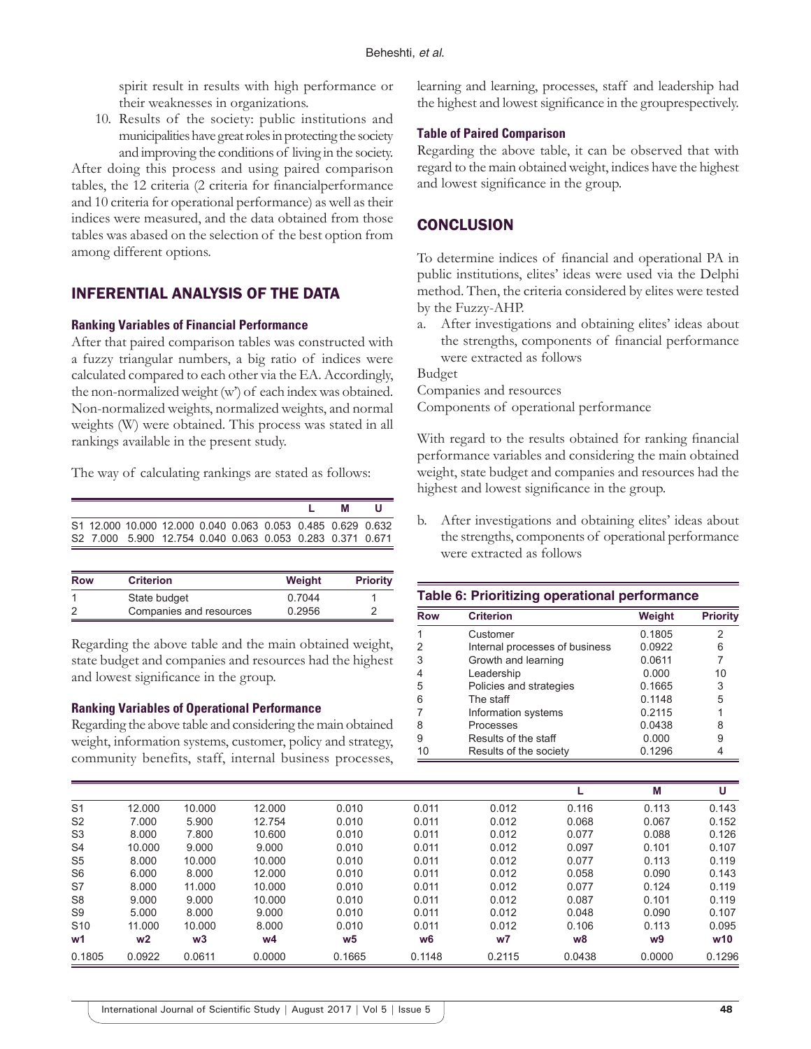spirit result in results with high performance or their weaknesses in organizations.

10. Results of the society: public institutions and municipalities have great roles in protecting the society and improving the conditions of living in the society.

After doing this process and using paired comparison tables, the 12 criteria (2 criteria for financialperformance and 10 criteria for operational performance) as well as their indices were measured, and the data obtained from those tables was abased on the selection of the best option from among different options.

## INFERENTIAL ANALYSIS OF THE DATA

#### **Ranking Variables of Financial Performance**

After that paired comparison tables was constructed with a fuzzy triangular numbers, a big ratio of indices were calculated compared to each other via the EA. Accordingly, the non-normalized weight (w') of each index was obtained. Non-normalized weights, normalized weights, and normal weights (W) were obtained. This process was stated in all rankings available in the present study.

The way of calculating rankings are stated as follows:

|  |                                                              |  |  | M | ш |
|--|--------------------------------------------------------------|--|--|---|---|
|  | \$1 12,000 10,000 12,000 0,040 0,063 0,053 0,485 0,629 0,632 |  |  |   |   |
|  | S2 7.000 5.900 12.754 0.040 0.063 0.053 0.283 0.371 0.671    |  |  |   |   |

| <b>Row</b> | <b>Criterion</b>        | Weight | <b>Priority</b> |
|------------|-------------------------|--------|-----------------|
|            | State budget            | 0.7044 |                 |
|            | Companies and resources | 0.2956 |                 |

Regarding the above table and the main obtained weight, state budget and companies and resources had the highest and lowest significance in the group.

#### **Ranking Variables of Operational Performance**

Regarding the above table and considering the main obtained weight, information systems, customer, policy and strategy, community benefits, staff, internal business processes, learning and learning, processes, staff and leadership had the highest and lowest significance in the grouprespectively.

#### **Table of Paired Comparison**

Regarding the above table, it can be observed that with regard to the main obtained weight, indices have the highest and lowest significance in the group.

# **CONCLUSION**

To determine indices of financial and operational PA in public institutions, elites' ideas were used via the Delphi method. Then, the criteria considered by elites were tested by the Fuzzy-AHP.

a. After investigations and obtaining elites' ideas about the strengths, components of financial performance were extracted as follows

Budget

Companies and resources

Components of operational performance

With regard to the results obtained for ranking financial performance variables and considering the main obtained weight, state budget and companies and resources had the highest and lowest significance in the group.

b. After investigations and obtaining elites' ideas about the strengths, components of operational performance were extracted as follows

#### **Table 6: Prioritizing operational performance**

| <b>Row</b> | <b>Criterion</b>               | Weight | <b>Priority</b> |
|------------|--------------------------------|--------|-----------------|
| 1          | Customer                       | 0.1805 | 2               |
| 2          | Internal processes of business | 0.0922 | 6               |
| 3          | Growth and learning            | 0.0611 | 7               |
| 4          | Leadership                     | 0.000  | 10              |
| 5          | Policies and strategies        | 0.1665 | 3               |
| 6          | The staff                      | 0.1148 | 5               |
| 7          | Information systems            | 0.2115 |                 |
| 8          | Processes                      | 0.0438 | 8               |
| 9          | Results of the staff           | 0.000  | 9               |
| 10         | Results of the society         | 0.1296 |                 |

|                 |                |        |        |        |        |                |        | М      | U      |
|-----------------|----------------|--------|--------|--------|--------|----------------|--------|--------|--------|
| S <sub>1</sub>  | 12.000         | 10.000 | 12.000 | 0.010  | 0.011  | 0.012          | 0.116  | 0.113  | 0.143  |
| S <sub>2</sub>  | 7.000          | 5.900  | 12.754 | 0.010  | 0.011  | 0.012          | 0.068  | 0.067  | 0.152  |
| S <sub>3</sub>  | 8.000          | 7.800  | 10.600 | 0.010  | 0.011  | 0.012          | 0.077  | 0.088  | 0.126  |
| S <sub>4</sub>  | 10.000         | 9.000  | 9.000  | 0.010  | 0.011  | 0.012          | 0.097  | 0.101  | 0.107  |
| S5              | 8.000          | 10.000 | 10.000 | 0.010  | 0.011  | 0.012          | 0.077  | 0.113  | 0.119  |
| S <sub>6</sub>  | 6.000          | 8.000  | 12.000 | 0.010  | 0.011  | 0.012          | 0.058  | 0.090  | 0.143  |
| S7              | 8.000          | 11.000 | 10.000 | 0.010  | 0.011  | 0.012          | 0.077  | 0.124  | 0.119  |
| S8              | 9.000          | 9.000  | 10.000 | 0.010  | 0.011  | 0.012          | 0.087  | 0.101  | 0.119  |
| S9              | 5.000          | 8.000  | 9.000  | 0.010  | 0.011  | 0.012          | 0.048  | 0.090  | 0.107  |
| S <sub>10</sub> | 11.000         | 10.000 | 8.000  | 0.010  | 0.011  | 0.012          | 0.106  | 0.113  | 0.095  |
| w1              | w <sub>2</sub> | w3     | w4     | w5     | w6     | W <sub>7</sub> | w8     | w9     | w10    |
| 0.1805          | 0.0922         | 0.0611 | 0.0000 | 0.1665 | 0.1148 | 0.2115         | 0.0438 | 0.0000 | 0.1296 |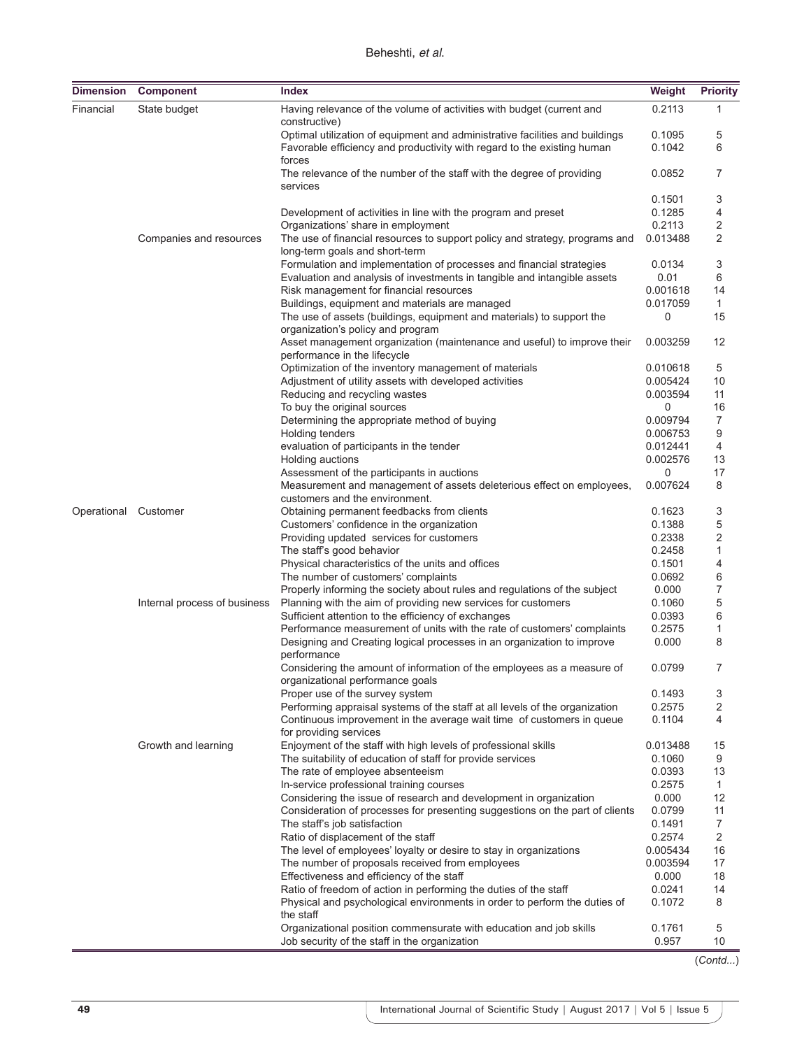| Dimension   | <b>Component</b>             | <b>Index</b>                                                                                                  | Weight               | <b>Priority</b> |
|-------------|------------------------------|---------------------------------------------------------------------------------------------------------------|----------------------|-----------------|
| Financial   | State budget                 | Having relevance of the volume of activities with budget (current and<br>constructive)                        | 0.2113               | 1               |
|             |                              | Optimal utilization of equipment and administrative facilities and buildings                                  | 0.1095               | 5               |
|             |                              | Favorable efficiency and productivity with regard to the existing human<br>forces                             | 0.1042               | 6               |
|             |                              | The relevance of the number of the staff with the degree of providing<br>services                             | 0.0852               | 7               |
|             |                              |                                                                                                               | 0.1501               | 3               |
|             |                              | Development of activities in line with the program and preset                                                 | 0.1285               | 4               |
|             |                              | Organizations' share in employment                                                                            | 0.2113               | 2               |
|             | Companies and resources      | The use of financial resources to support policy and strategy, programs and<br>long-term goals and short-term | 0.013488             | 2               |
|             |                              | Formulation and implementation of processes and financial strategies                                          | 0.0134               | 3               |
|             |                              | Evaluation and analysis of investments in tangible and intangible assets                                      | 0.01                 | 6               |
|             |                              | Risk management for financial resources                                                                       | 0.001618             | 14              |
|             |                              | Buildings, equipment and materials are managed                                                                | 0.017059             | $\mathbf{1}$    |
|             |                              | The use of assets (buildings, equipment and materials) to support the<br>organization's policy and program    | 0                    | 15              |
|             |                              | Asset management organization (maintenance and useful) to improve their<br>performance in the lifecycle       | 0.003259             | 12              |
|             |                              | Optimization of the inventory management of materials                                                         | 0.010618             | 5               |
|             |                              | Adjustment of utility assets with developed activities                                                        | 0.005424             | 10              |
|             |                              | Reducing and recycling wastes                                                                                 | 0.003594             | 11              |
|             |                              | To buy the original sources                                                                                   | 0                    | 16              |
|             |                              | Determining the appropriate method of buying                                                                  | 0.009794             | 7               |
|             |                              | Holding tenders                                                                                               | 0.006753<br>0.012441 | 9               |
|             |                              | evaluation of participants in the tender<br>Holding auctions                                                  | 0.002576             | 4<br>13         |
|             |                              | Assessment of the participants in auctions                                                                    | 0                    | 17              |
|             |                              | Measurement and management of assets deleterious effect on employees,<br>customers and the environment.       | 0.007624             | 8               |
| Operational | Customer                     | Obtaining permanent feedbacks from clients                                                                    | 0.1623               | 3               |
|             |                              | Customers' confidence in the organization                                                                     | 0.1388               | 5               |
|             |                              | Providing updated services for customers                                                                      | 0.2338               | 2               |
|             |                              | The staff's good behavior                                                                                     | 0.2458               | $\mathbf{1}$    |
|             |                              | Physical characteristics of the units and offices                                                             | 0.1501               | 4               |
|             |                              | The number of customers' complaints                                                                           | 0.0692               | 6               |
|             |                              | Properly informing the society about rules and regulations of the subject                                     | 0.000                | 7               |
|             | Internal process of business | Planning with the aim of providing new services for customers                                                 | 0.1060               | 5               |
|             |                              | Sufficient attention to the efficiency of exchanges                                                           | 0.0393               | 6               |
|             |                              | Performance measurement of units with the rate of customers' complaints                                       | 0.2575               | 1               |
|             |                              | Designing and Creating logical processes in an organization to improve<br>performance                         | 0.000                | 8               |
|             |                              | Considering the amount of information of the employees as a measure of                                        | 0.0799               | 7               |
|             |                              | organizational performance goals<br>Proper use of the survey system                                           | 0.1493               | 3               |
|             |                              | Performing appraisal systems of the staff at all levels of the organization                                   | 0.2575               | 2               |
|             |                              | Continuous improvement in the average wait time of customers in queue<br>for providing services               | 0.1104               | 4               |
|             | Growth and learning          | Enjoyment of the staff with high levels of professional skills                                                | 0.013488             | 15              |
|             |                              | The suitability of education of staff for provide services                                                    | 0.1060               | 9               |
|             |                              | The rate of employee absenteeism                                                                              | 0.0393               | 13              |
|             |                              | In-service professional training courses                                                                      | 0.2575               | 1               |
|             |                              | Considering the issue of research and development in organization                                             | 0.000                | 12              |
|             |                              | Consideration of processes for presenting suggestions on the part of clients                                  | 0.0799               | 11              |
|             |                              | The staff's job satisfaction                                                                                  | 0.1491               | 7               |
|             |                              | Ratio of displacement of the staff                                                                            | 0.2574               | 2               |
|             |                              | The level of employees' loyalty or desire to stay in organizations                                            | 0.005434             | 16              |
|             |                              | The number of proposals received from employees                                                               | 0.003594             | 17              |
|             |                              | Effectiveness and efficiency of the staff                                                                     | 0.000                | 18              |
|             |                              | Ratio of freedom of action in performing the duties of the staff                                              | 0.0241               | 14              |
|             |                              | Physical and psychological environments in order to perform the duties of<br>the staff                        | 0.1072               | 8               |
|             |                              | Organizational position commensurate with education and job skills                                            | 0.1761               | 5               |
|             |                              | Job security of the staff in the organization                                                                 | 0.957                | 10              |

<sup>(</sup>*Contd...*)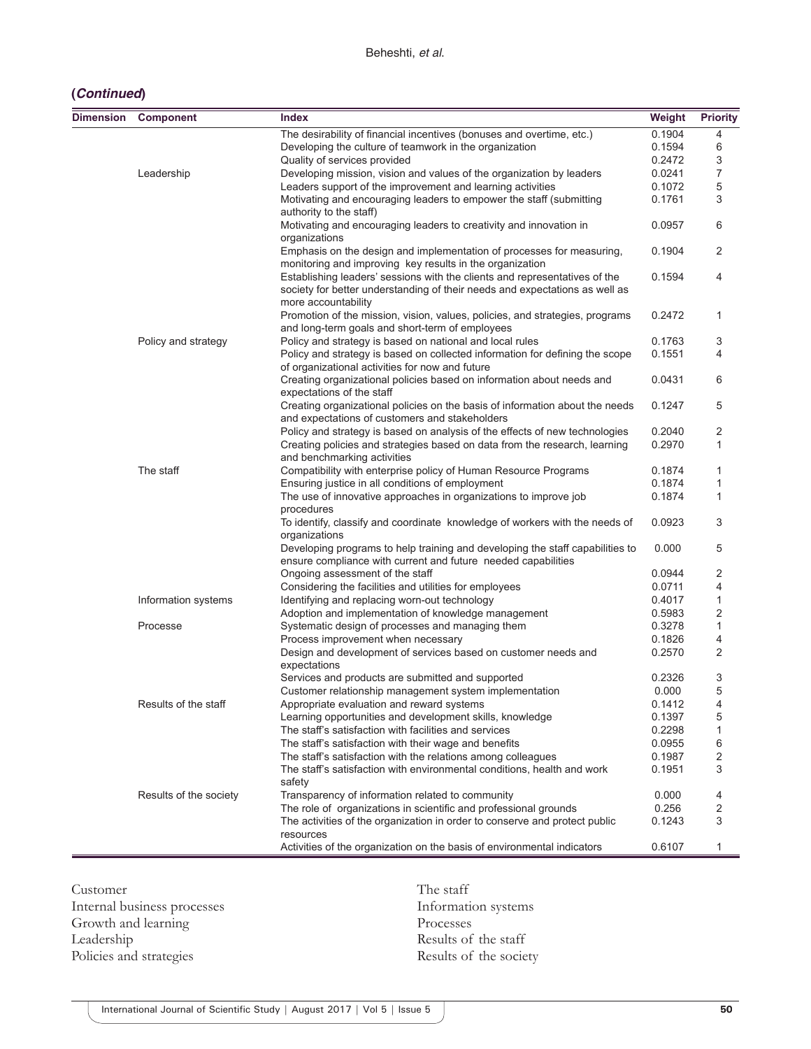## **(***Continued***)**

| <b>Dimension</b> | <b>Component</b>       | <b>Index</b>                                                                                                                                              | Weight | <b>Priority</b> |
|------------------|------------------------|-----------------------------------------------------------------------------------------------------------------------------------------------------------|--------|-----------------|
|                  |                        | The desirability of financial incentives (bonuses and overtime, etc.)                                                                                     | 0.1904 | 4               |
|                  |                        | Developing the culture of teamwork in the organization                                                                                                    | 0.1594 | 6               |
|                  |                        | Quality of services provided                                                                                                                              | 0.2472 | 3               |
|                  | Leadership             | Developing mission, vision and values of the organization by leaders                                                                                      | 0.0241 | 7               |
|                  |                        | Leaders support of the improvement and learning activities                                                                                                | 0.1072 | 5               |
|                  |                        | Motivating and encouraging leaders to empower the staff (submitting<br>authority to the staff)                                                            | 0.1761 | 3               |
|                  |                        | Motivating and encouraging leaders to creativity and innovation in<br>organizations                                                                       | 0.0957 | 6               |
|                  |                        | Emphasis on the design and implementation of processes for measuring,<br>monitoring and improving key results in the organization                         | 0.1904 | 2               |
|                  |                        | Establishing leaders' sessions with the clients and representatives of the<br>society for better understanding of their needs and expectations as well as | 0.1594 | 4               |
|                  |                        | more accountability<br>Promotion of the mission, vision, values, policies, and strategies, programs                                                       | 0.2472 | 1               |
|                  |                        | and long-term goals and short-term of employees                                                                                                           |        |                 |
|                  | Policy and strategy    | Policy and strategy is based on national and local rules                                                                                                  | 0.1763 | 3               |
|                  |                        | Policy and strategy is based on collected information for defining the scope<br>of organizational activities for now and future                           | 0.1551 | 4               |
|                  |                        | Creating organizational policies based on information about needs and<br>expectations of the staff                                                        | 0.0431 | 6               |
|                  |                        | Creating organizational policies on the basis of information about the needs<br>and expectations of customers and stakeholders                            | 0.1247 | 5               |
|                  |                        | Policy and strategy is based on analysis of the effects of new technologies                                                                               | 0.2040 | 2               |
|                  |                        | Creating policies and strategies based on data from the research, learning<br>and benchmarking activities                                                 | 0.2970 | 1               |
|                  | The staff              | Compatibility with enterprise policy of Human Resource Programs                                                                                           | 0.1874 | 1               |
|                  |                        | Ensuring justice in all conditions of employment                                                                                                          | 0.1874 | 1               |
|                  |                        | The use of innovative approaches in organizations to improve job<br>procedures                                                                            | 0.1874 | 1               |
|                  |                        | To identify, classify and coordinate knowledge of workers with the needs of<br>organizations                                                              | 0.0923 | 3               |
|                  |                        | Developing programs to help training and developing the staff capabilities to<br>ensure compliance with current and future needed capabilities            | 0.000  | 5               |
|                  |                        | Ongoing assessment of the staff                                                                                                                           | 0.0944 | 2               |
|                  |                        | Considering the facilities and utilities for employees                                                                                                    | 0.0711 | 4               |
|                  | Information systems    | Identifying and replacing worn-out technology                                                                                                             | 0.4017 | 1               |
|                  |                        | Adoption and implementation of knowledge management                                                                                                       | 0.5983 | 2               |
|                  | Processe               | Systematic design of processes and managing them                                                                                                          | 0.3278 | $\mathbf{1}$    |
|                  |                        | Process improvement when necessary                                                                                                                        | 0.1826 | 4               |
|                  |                        | Design and development of services based on customer needs and<br>expectations                                                                            | 0.2570 | 2               |
|                  |                        | Services and products are submitted and supported                                                                                                         | 0.2326 | 3               |
|                  |                        | Customer relationship management system implementation                                                                                                    | 0.000  | 5               |
|                  | Results of the staff   | Appropriate evaluation and reward systems                                                                                                                 | 0.1412 | 4               |
|                  |                        | Learning opportunities and development skills, knowledge                                                                                                  | 0.1397 | 5               |
|                  |                        | The staff's satisfaction with facilities and services                                                                                                     | 0.2298 | 1               |
|                  |                        | The staff's satisfaction with their wage and benefits                                                                                                     | 0.0955 | 6               |
|                  |                        | The staff's satisfaction with the relations among colleagues                                                                                              | 0.1987 | 2               |
|                  |                        | The staff's satisfaction with environmental conditions, health and work                                                                                   | 0.1951 | 3               |
|                  | Results of the society | safety<br>Transparency of information related to community                                                                                                | 0.000  | 4               |
|                  |                        | The role of organizations in scientific and professional grounds                                                                                          | 0.256  | 2               |
|                  |                        | The activities of the organization in order to conserve and protect public                                                                                | 0.1243 | 3               |
|                  |                        | resources                                                                                                                                                 |        |                 |
|                  |                        | Activities of the organization on the basis of environmental indicators                                                                                   | 0.6107 | 1               |

Customer Internal business processes Growth and learning Leadership Policies and strategies

The staff Information systems Processes Results of the staff Results of the society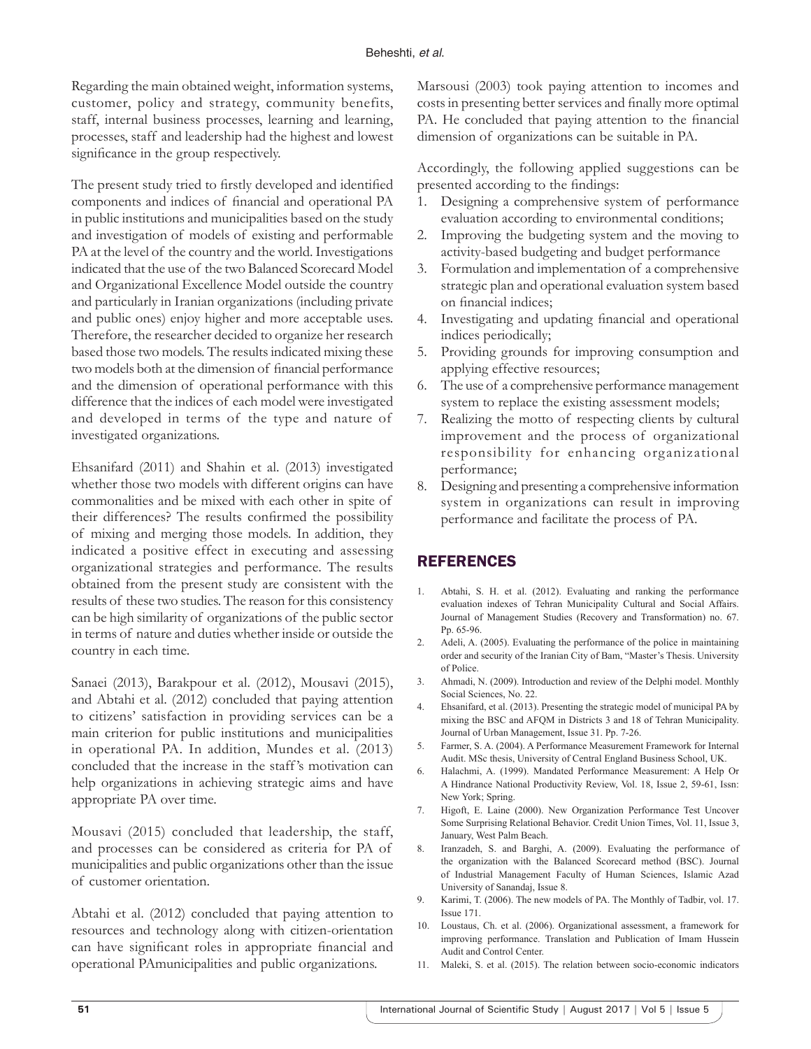Regarding the main obtained weight, information systems, customer, policy and strategy, community benefits, staff, internal business processes, learning and learning, processes, staff and leadership had the highest and lowest significance in the group respectively.

The present study tried to firstly developed and identified components and indices of financial and operational PA in public institutions and municipalities based on the study and investigation of models of existing and performable PA at the level of the country and the world. Investigations indicated that the use of the two Balanced Scorecard Model and Organizational Excellence Model outside the country and particularly in Iranian organizations (including private and public ones) enjoy higher and more acceptable uses. Therefore, the researcher decided to organize her research based those two models. The results indicated mixing these two models both at the dimension of financial performance and the dimension of operational performance with this difference that the indices of each model were investigated and developed in terms of the type and nature of investigated organizations.

Ehsanifard (2011) and Shahin et al. (2013) investigated whether those two models with different origins can have commonalities and be mixed with each other in spite of their differences? The results confirmed the possibility of mixing and merging those models. In addition, they indicated a positive effect in executing and assessing organizational strategies and performance. The results obtained from the present study are consistent with the results of these two studies. The reason for this consistency can be high similarity of organizations of the public sector in terms of nature and duties whether inside or outside the country in each time.

Sanaei (2013), Barakpour et al. (2012), Mousavi (2015), and Abtahi et al. (2012) concluded that paying attention to citizens' satisfaction in providing services can be a main criterion for public institutions and municipalities in operational PA. In addition, Mundes et al. (2013) concluded that the increase in the staff 's motivation can help organizations in achieving strategic aims and have appropriate PA over time.

Mousavi (2015) concluded that leadership, the staff, and processes can be considered as criteria for PA of municipalities and public organizations other than the issue of customer orientation.

Abtahi et al. (2012) concluded that paying attention to resources and technology along with citizen-orientation can have significant roles in appropriate financial and operational PAmunicipalities and public organizations.

Marsousi (2003) took paying attention to incomes and costs in presenting better services and finally more optimal PA. He concluded that paying attention to the financial dimension of organizations can be suitable in PA.

Accordingly, the following applied suggestions can be presented according to the findings:

- 1. Designing a comprehensive system of performance evaluation according to environmental conditions;
- 2. Improving the budgeting system and the moving to activity-based budgeting and budget performance
- 3. Formulation and implementation of a comprehensive strategic plan and operational evaluation system based on financial indices;
- 4. Investigating and updating financial and operational indices periodically;
- 5. Providing grounds for improving consumption and applying effective resources;
- 6. The use of a comprehensive performance management system to replace the existing assessment models;
- 7. Realizing the motto of respecting clients by cultural improvement and the process of organizational responsibility for enhancing organizational performance;
- 8. Designing and presenting a comprehensive information system in organizations can result in improving performance and facilitate the process of PA.

# **REFERENCES**

- 1. Abtahi, S. H. et al. (2012). Evaluating and ranking the performance evaluation indexes of Tehran Municipality Cultural and Social Affairs. Journal of Management Studies (Recovery and Transformation) no. 67. Pp. 65-96.
- 2. Adeli, A. (2005). Evaluating the performance of the police in maintaining order and security of the Iranian City of Bam, "Master's Thesis. University of Police.
- 3. Ahmadi, N. (2009). Introduction and review of the Delphi model. Monthly Social Sciences, No. 22.
- 4. Ehsanifard, et al. (2013). Presenting the strategic model of municipal PA by mixing the BSC and AFQM in Districts 3 and 18 of Tehran Municipality. Journal of Urban Management, Issue 31. Pp. 7-26.
- 5. Farmer, S. A. (2004). A Performance Measurement Framework for Internal Audit. MSc thesis, University of Central England Business School, UK.
- 6. Halachmi, A. (1999). Mandated Performance Measurement: A Help Or A Hindrance National Productivity Review, Vol. 18, Issue 2, 59-61, Issn: New York; Spring.
- 7. Higoft, E. Laine (2000). New Organization Performance Test Uncover Some Surprising Relational Behavior. Credit Union Times, Vol. 11, Issue 3, January, West Palm Beach.
- 8. Iranzadeh, S. and Barghi, A. (2009). Evaluating the performance of the organization with the Balanced Scorecard method (BSC). Journal of Industrial Management Faculty of Human Sciences, Islamic Azad University of Sanandaj, Issue 8.
- 9. Karimi, T. (2006). The new models of PA. The Monthly of Tadbir, vol. 17. Issue 171.
- 10. Loustaus, Ch. et al. (2006). Organizational assessment, a framework for improving performance. Translation and Publication of Imam Hussein Audit and Control Center.
- 11. Maleki, S. et al. (2015). The relation between socio-economic indicators